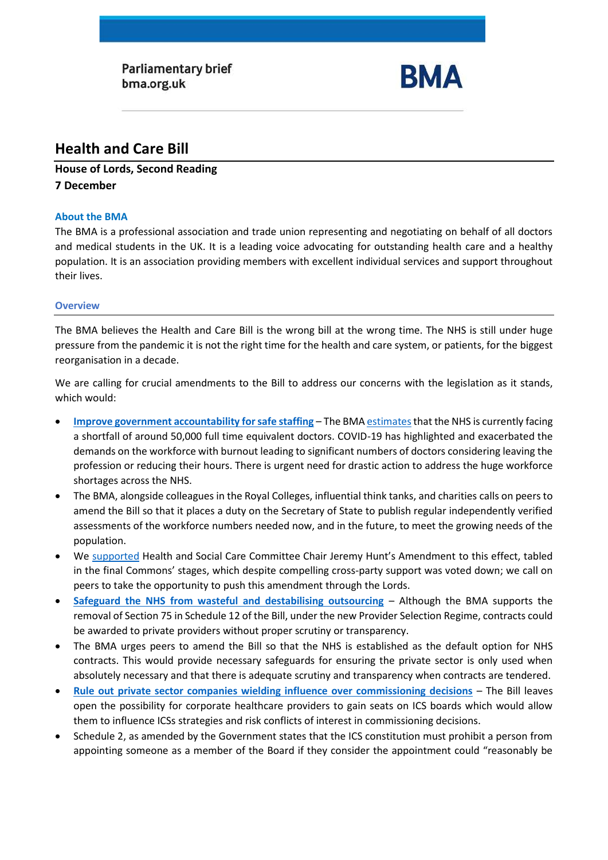Parliamentary brief bma.org.uk



# **Health and Care Bill**

# **House of Lords, Second Reading 7 December**

# **About the BMA**

The BMA is a professional association and trade union representing and negotiating on behalf of all doctors and medical students in the UK. It is a leading voice advocating for outstanding health care and a healthy population. It is an association providing members with excellent individual services and support throughout their lives.

# **Overview**

The BMA believes the Health and Care Bill is the wrong bill at the wrong time. The NHS is still under huge pressure from the pandemic it is not the right time for the health and care system, or patients, for the biggest reorganisation in a decade.

We are calling for crucial amendments to the Bill to address our concerns with the legislation as it stands, which would:

- **[Improve government accountability for safe staffing](#page-1-0)** The BM[A estimatest](https://www.bma.org.uk/advice-and-support/nhs-delivery-and-workforce/workforce/medical-staffing-in-england-report)hat the NHS is currently facing a shortfall of around 50,000 full time equivalent doctors. COVID-19 has highlighted and exacerbated the demands on the workforce with burnout leading to significant numbers of doctors considering leaving the profession or reducing their hours. There is urgent need for drastic action to address the huge workforce shortages across the NHS.
- The BMA, alongside colleagues in the Royal Colleges, influential think tanks, and charities calls on peers to amend the Bill so that it places a duty on the Secretary of State to publish regular independently verified assessments of the workforce numbers needed now, and in the future, to meet the growing needs of the population.
- We [supported](https://www.bma.org.uk/media/4807/bma-assessing-and-meeting-workforce-needs-health-care-bill-amendment-nov-2021.pdf) Health and Social Care Committee Chair Jeremy Hunt's Amendment to this effect, tabled in the final Commons' stages, which despite compelling cross-party support was voted down; we call on peers to take the opportunity to push this amendment through the Lords.
- **Safeguard the NHS from wasteful and destabilising outsourcing** Although the BMA supports the removal of Section 75 in Schedule 12 of the Bill, under the new Provider Selection Regime, contracts could be awarded to private providers without proper scrutiny or transparency.
- The BMA urges peers to amend the Bill so that the NHS is established as the default option for NHS contracts. This would provide necessary safeguards for ensuring the private sector is only used when absolutely necessary and that there is adequate scrutiny and transparency when contracts are tendered.
- **[Rule out private sector companies wielding influence over commissioning decisions](#page-3-0)** The Bill leaves open the possibility for corporate healthcare providers to gain seats on ICS boards which would allow them to influence ICSs strategies and risk conflicts of interest in commissioning decisions.
- Schedule 2, as amended by the Government states that the ICS constitution must prohibit a person from appointing someone as a member of the Board if they consider the appointment could "reasonably be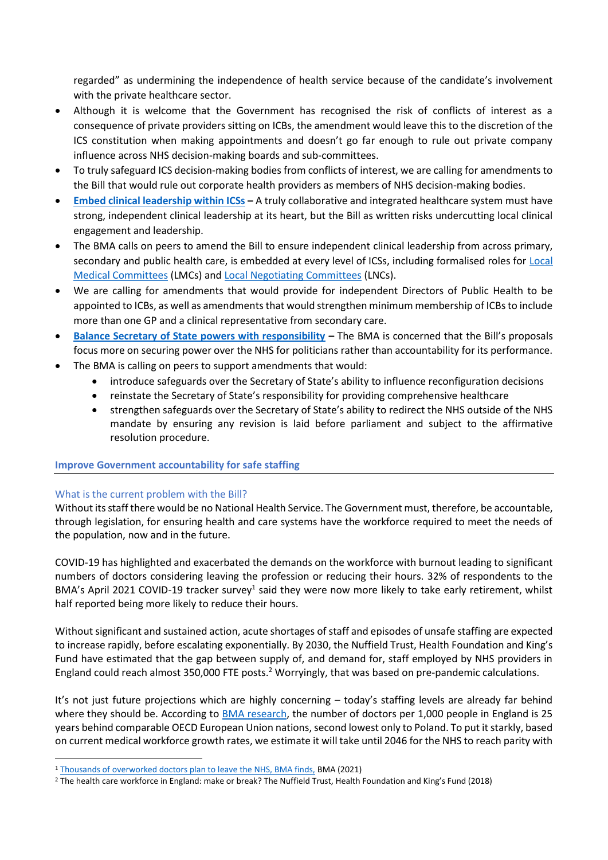regarded" as undermining the independence of health service because of the candidate's involvement with the private healthcare sector.

- Although it is welcome that the Government has recognised the risk of conflicts of interest as a consequence of private providers sitting on ICBs, the amendment would leave this to the discretion of the ICS constitution when making appointments and doesn't go far enough to rule out private company influence across NHS decision-making boards and sub-committees.
- To truly safeguard ICS decision-making bodies from conflicts of interest, we are calling for amendments to the Bill that would rule out corporate health providers as members of NHS decision-making bodies.
- **[Embed clinical leadership within ICSs](#page-4-0) –** A truly collaborative and integrated healthcare system must have strong, independent clinical leadership at its heart, but the Bill as written risks undercutting local clinical engagement and leadership.
- The BMA calls on peers to amend the Bill to ensure independent clinical leadership from across primary, secondary and public health care, is embedded at every level of ICSs, including formalised roles for [Local](https://www.bma.org.uk/what-we-do/local-medical-committees)  [Medical Committees](https://www.bma.org.uk/what-we-do/local-medical-committees) (LMCs) an[d Local Negotiating Committees](https://www.bma.org.uk/what-we-do/local-negotiating-committees) (LNCs).
- We are calling for amendments that would provide for independent Directors of Public Health to be appointed to ICBs, as well as amendments that would strengthen minimum membership of ICBs to include more than one GP and a clinical representative from secondary care.
- **[Balance Secretary of State powers with responsibility](#page-4-1) –** The BMA is concerned that the Bill's proposals focus more on securing power over the NHS for politicians rather than accountability for its performance.
- The BMA is calling on peers to support amendments that would:
	- introduce safeguards over the Secretary of State's ability to influence reconfiguration decisions
	- reinstate the Secretary of State's responsibility for providing comprehensive healthcare
	- strengthen safeguards over the Secretary of State's ability to redirect the NHS outside of the NHS mandate by ensuring any revision is laid before parliament and subject to the affirmative resolution procedure.

# <span id="page-1-0"></span>**Improve Government accountability for safe staffing**

## What is the current problem with the Bill?

Without its staff there would be no National Health Service. The Government must, therefore, be accountable, through legislation, for ensuring health and care systems have the workforce required to meet the needs of the population, now and in the future.

COVID-19 has highlighted and exacerbated the demands on the workforce with burnout leading to significant numbers of doctors considering leaving the profession or reducing their hours. 32% of respondents to the BMA's April 2021 COVID-19 tracker survey<sup>1</sup> said they were now more likely to take early retirement, whilst half reported being more likely to reduce their hours.

Without significant and sustained action, acute shortages of staff and episodes of unsafe staffing are expected to increase rapidly, before escalating exponentially. By 2030, the Nuffield Trust, Health Foundation and King's Fund have estimated that the gap between supply of, and demand for, staff employed by NHS providers in England could reach almost 350,000 FTE posts.<sup>2</sup> Worryingly, that was based on pre-pandemic calculations.

It's not just future projections which are highly concerning – today's staffing levels are already far behind where they should be. According to [BMA research,](https://www.bma.org.uk/advice-and-support/nhs-delivery-and-workforce/workforce/medical-staffing-in-england-report) the number of doctors per 1,000 people in England is 25 years behind comparable OECD European Union nations, second lowest only to Poland. To put it starkly, based on current medical workforce growth rates, we estimate it will take until 2046 for the NHS to reach parity with

<sup>1</sup> [Thousands of overworked doctors plan to leave the NHS, BMA finds,](https://www.bma.org.uk/bma-media-centre/thousands-of-overworked-doctors-plan-to-leave-the-nhs-bma-finds) BMA (2021)

<sup>2</sup> The health care workforce in England: make or break? The Nuffield Trust, Health Foundation and King's Fund (2018)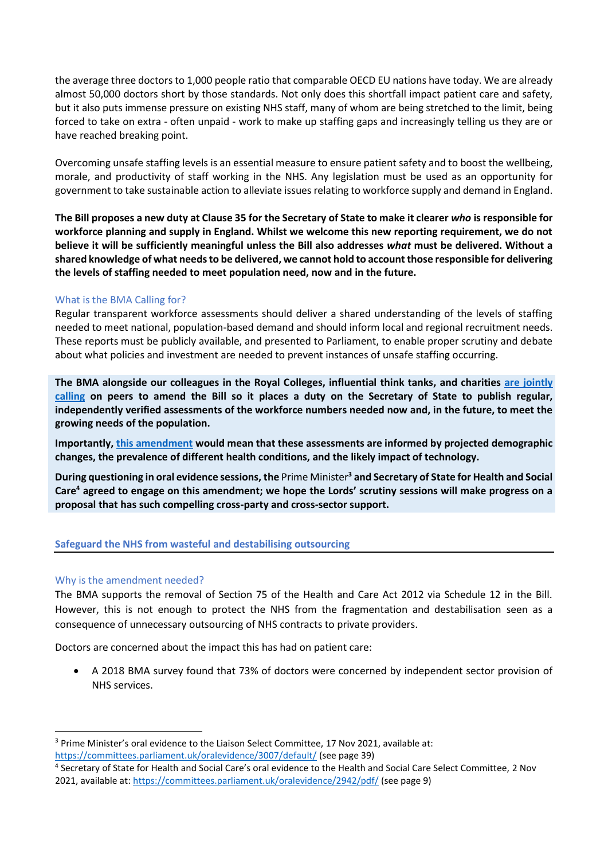the average three doctors to 1,000 people ratio that comparable OECD EU nations have today. We are already almost 50,000 doctors short by those standards. Not only does this shortfall impact patient care and safety, but it also puts immense pressure on existing NHS staff, many of whom are being stretched to the limit, being forced to take on extra - often unpaid - work to make up staffing gaps and increasingly telling us they are or have reached breaking point.

Overcoming unsafe staffing levels is an essential measure to ensure patient safety and to boost the wellbeing, morale, and productivity of staff working in the NHS. Any legislation must be used as an opportunity for government to take sustainable action to alleviate issues relating to workforce supply and demand in England.

**The Bill proposes a new duty at Clause 35 for the Secretary of State to make it clearer** *who* **is responsible for workforce planning and supply in England. Whilst we welcome this new reporting requirement, we do not believe it will be sufficiently meaningful unless the Bill also addresses** *what* **must be delivered. Without a shared knowledge of what needs to be delivered, we cannot hold to account those responsible for delivering the levels of staffing needed to meet population need, now and in the future.**

# What is the BMA Calling for?

Regular transparent workforce assessments should deliver a shared understanding of the levels of staffing needed to meet national, population-based demand and should inform local and regional recruitment needs. These reports must be publicly available, and presented to Parliament, to enable proper scrutiny and debate about what policies and investment are needed to prevent instances of unsafe staffing occurring.

**The BMA alongside our colleagues in the Royal Colleges, influential think tanks, and charities [are jointly](https://www.bma.org.uk/media/4807/bma-assessing-and-meeting-workforce-needs-health-care-bill-amendment-nov-2021.pdf)  [calling](https://www.bma.org.uk/media/4807/bma-assessing-and-meeting-workforce-needs-health-care-bill-amendment-nov-2021.pdf) on peers to amend the Bill so it places a duty on the Secretary of State to publish regular, independently verified assessments of the workforce numbers needed now and, in the future, to meet the growing needs of the population.**

**Importantly, [this amendment](https://www.bma.org.uk/media/4807/bma-assessing-and-meeting-workforce-needs-health-care-bill-amendment-nov-2021.pdf) would mean that these assessments are informed by projected demographic changes, the prevalence of different health conditions, and the likely impact of technology.** 

**During questioning in oral evidence sessions, the** Prime Minister**<sup>3</sup> and Secretary of State for Health and Social Care<sup>4</sup> agreed to engage on this amendment; we hope the Lords' scrutiny sessions will make progress on a proposal that has such compelling cross-party and cross-sector support.** 

# **Safeguard the NHS from wasteful and destabilising outsourcing**

## Why is the amendment needed?

The BMA supports the removal of Section 75 of the Health and Care Act 2012 via Schedule 12 in the Bill. However, this is not enough to protect the NHS from the fragmentation and destabilisation seen as a consequence of unnecessary outsourcing of NHS contracts to private providers.

Doctors are concerned about the impact this has had on patient care:

• A 2018 BMA survey found that 73% of doctors were concerned by independent sector provision of NHS services.

<sup>&</sup>lt;sup>3</sup> Prime Minister's oral evidence to the Liaison Select Committee, 17 Nov 2021, available at: <https://committees.parliament.uk/oralevidence/3007/default/> (see page 39)

<sup>4</sup> Secretary of State for Health and Social Care's oral evidence to the Health and Social Care Select Committee, 2 Nov 2021, available at:<https://committees.parliament.uk/oralevidence/2942/pdf/> (see page 9)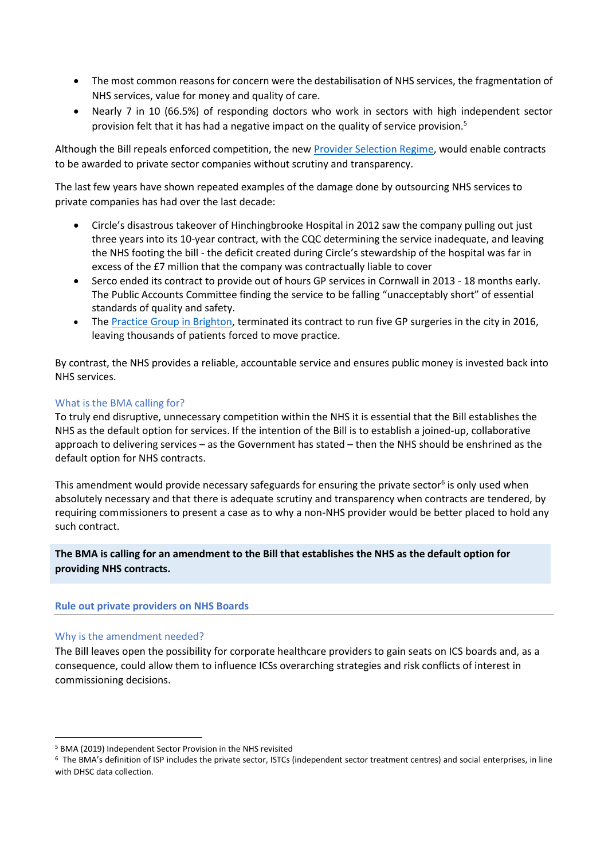- The most common reasons for concern were the destabilisation of NHS services, the fragmentation of NHS services, value for money and quality of care.
- Nearly 7 in 10 (66.5%) of responding doctors who work in sectors with high independent sector provision felt that it has had a negative impact on the quality of service provision.<sup>5</sup>

Although the Bill repeals enforced competition, the new [Provider Selection Regime,](https://www.england.nhs.uk/wp-content/uploads/2021/02/B0135-provider-selection-regime-consultation.pdf) would enable contracts to be awarded to private sector companies without scrutiny and transparency.

The last few years have shown repeated examples of the damage done by outsourcing NHS services to private companies has had over the last decade:

- Circle's disastrous takeover of Hinchingbrooke Hospital in 2012 saw the company pulling out just three years into its 10-year contract, with the CQC determining the service inadequate, and leaving the NHS footing the bill - the deficit created during Circle's stewardship of the hospital was far in excess of the £7 million that the company was contractually liable to cover
- Serco ended its contract to provide out of hours GP services in Cornwall in 2013 18 months early. The Public Accounts Committee finding the service to be falling "unacceptably short" of essential standards of quality and safety.
- The [Practice Group in Brighton,](https://www.pulsetoday.co.uk/news/contract/gp-provider-ditches-11000-patient-contract-as-20-funding-cut-looms/) terminated its contract to run five GP surgeries in the city in 2016, leaving thousands of patients forced to move practice.

By contrast, the NHS provides a reliable, accountable service and ensures public money is invested back into NHS services.

# What is the BMA calling for?

To truly end disruptive, unnecessary competition within the NHS it is essential that the Bill establishes the NHS as the default option for services. If the intention of the Bill is to establish a joined-up, collaborative approach to delivering services – as the Government has stated – then the NHS should be enshrined as the default option for NHS contracts.

This amendment would provide necessary safeguards for ensuring the private sector<sup>6</sup> is only used when absolutely necessary and that there is adequate scrutiny and transparency when contracts are tendered, by requiring commissioners to present a case as to why a non-NHS provider would be better placed to hold any such contract.

**The BMA is calling for an amendment to the Bill that establishes the NHS as the default option for providing NHS contracts.** 

## <span id="page-3-0"></span>**Rule out private providers on NHS Boards**

## Why is the amendment needed?

The Bill leaves open the possibility for corporate healthcare providers to gain seats on ICS boards and, as a consequence, could allow them to influence ICSs overarching strategies and risk conflicts of interest in commissioning decisions.

<sup>5</sup> BMA (2019) Independent Sector Provision in the NHS revisited

<sup>6</sup> The BMA's definition of ISP includes the private sector, ISTCs (independent sector treatment centres) and social enterprises, in line with DHSC data collection.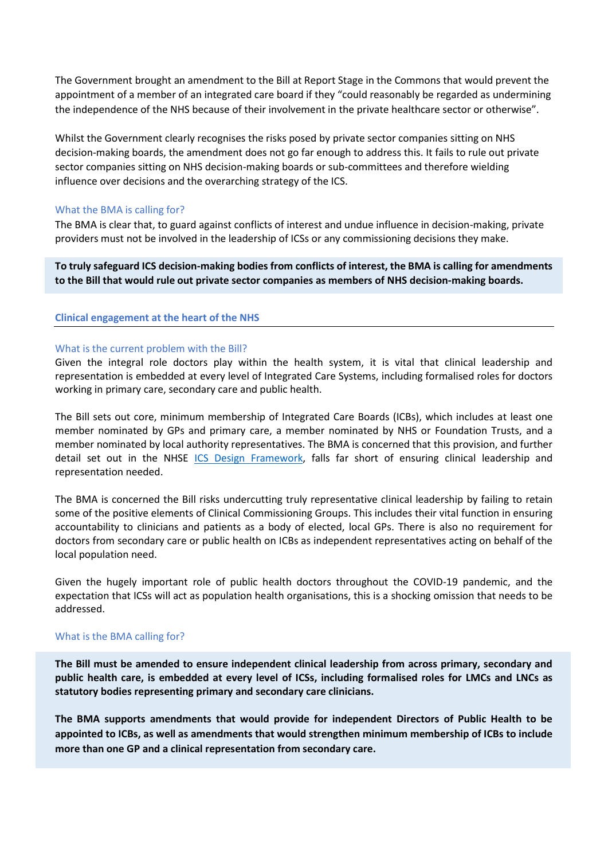The Government brought an amendment to the Bill at Report Stage in the Commons that would prevent the appointment of a member of an integrated care board if they "could reasonably be regarded as undermining the independence of the NHS because of their involvement in the private healthcare sector or otherwise".

Whilst the Government clearly recognises the risks posed by private sector companies sitting on NHS decision-making boards, the amendment does not go far enough to address this. It fails to rule out private sector companies sitting on NHS decision-making boards or sub-committees and therefore wielding influence over decisions and the overarching strategy of the ICS.

#### What the BMA is calling for?

The BMA is clear that, to guard against conflicts of interest and undue influence in decision-making, private providers must not be involved in the leadership of ICSs or any commissioning decisions they make.

**To truly safeguard ICS decision-making bodies from conflicts of interest, the BMA is calling for amendments to the Bill that would rule out private sector companies as members of NHS decision-making boards.** 

#### <span id="page-4-0"></span>**Clinical engagement at the heart of the NHS**

#### What is the current problem with the Bill?

Given the integral role doctors play within the health system, it is vital that clinical leadership and representation is embedded at every level of Integrated Care Systems, including formalised roles for doctors working in primary care, secondary care and public health.

The Bill sets out core, minimum membership of Integrated Care Boards (ICBs), which includes at least one member nominated by GPs and primary care, a member nominated by NHS or Foundation Trusts, and a member nominated by local authority representatives. The BMA is concerned that this provision, and further detail set out in the NHSE [ICS Design Framework,](https://www.england.nhs.uk/publication/integrated-care-systems-design-framework/) falls far short of ensuring clinical leadership and representation needed.

The BMA is concerned the Bill risks undercutting truly representative clinical leadership by failing to retain some of the positive elements of Clinical Commissioning Groups. This includes their vital function in ensuring accountability to clinicians and patients as a body of elected, local GPs. There is also no requirement for doctors from secondary care or public health on ICBs as independent representatives acting on behalf of the local population need.

Given the hugely important role of public health doctors throughout the COVID-19 pandemic, and the expectation that ICSs will act as population health organisations, this is a shocking omission that needs to be addressed.

#### What is the BMA calling for?

**The Bill must be amended to ensure independent clinical leadership from across primary, secondary and public health care, is embedded at every level of ICSs, including formalised roles for LMCs and LNCs as statutory bodies representing primary and secondary care clinicians.** 

<span id="page-4-1"></span>**The BMA supports amendments that would provide for independent Directors of Public Health to be appointed to ICBs, as well as amendments that would strengthen minimum membership of ICBs to include more than one GP and a clinical representation from secondary care.**